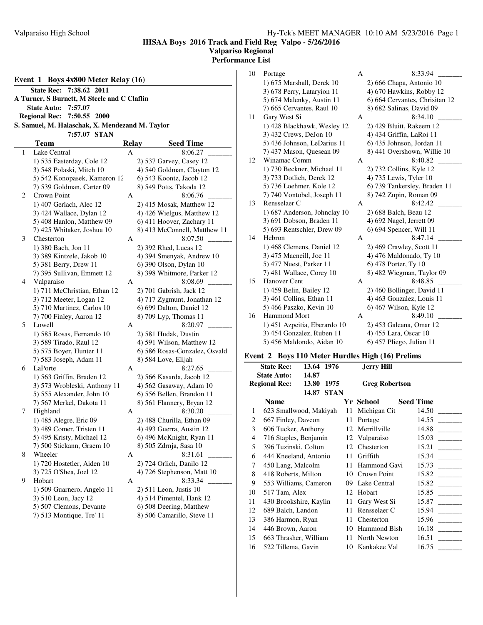#### **IHSAA Boys 2016 Track and Field Reg Valpo - 5/26/2016 Valpariso Regional Performance List**

**Event 1 Boys 4x800 Meter Relay (16) State Rec: 7:38.62 2011 A Turner, S Burnett, M Steele and C Claflin State Auto: 7:57.07 Regional Rec: 7:50.55 2000 S. Samuel, M. Halaschak, X. Mendezand M. Taylor 7:57.07 STAN Team Relay Seed Time** 1 Lake Central A 8:06.27 1) 535 Easterday, Cole 12 2) 537 Garvey, Casey 12 3) 548 Polaski, Mitch 10 4) 540 Goldman, Clayton 12 5) 542 Konopasek, Kameron 12 6) 543 Koontz, Jacob 12 7) 539 Goldman, Carter 09 8) 549 Potts, Takoda 12 2 Crown Point A 8:06.76 1) 407 Gerlach, Alec 12 2) 415 Mosak, Matthew 12 3) 424 Wallace, Dylan 12 4) 426 Wielgus, Matthew 12 5) 408 Hanlon, Matthew 09 6) 411 Hoover, Zachary 11 7) 425 Whitaker, Joshua 10 8) 413 McConnell, Matthew 11 3 Chesterton A 8:07.50 1) 380 Bach, Jon 11 2) 392 Rhed, Lucas 12 3) 389 Kintzele, Jakob 10 4) 394 Smenyak, Andrew 10 5) 381 Berry, Drew 11 6) 390 Olson, Dylan 10 7) 395 Sullivan, Emmett 12 8) 398 Whitmore, Parker 12 4 Valparaiso A 8:08.69 1) 711 McChristian, Ethan 12 2) 701 Gabrish, Jack 12 3) 712 Meeter, Logan 12 4) 717 Zygmunt, Jonathan 12 5) 710 Martinez, Carlos 10 6) 699 Dalton, Daniel 12 7) 700 Finley, Aaron 12 8) 709 Lyp, Thomas 11 5 Lowell A 8:20.97 \_\_\_\_\_\_\_\_\_ 1) 585 Rosas, Fernando 10 2) 581 Hudak, Dustin

3) 589 Tirado, Raul 12 4) 591 Wilson, Matthew 12 5) 575 Boyer, Hunter 11 6) 586 Rosas-Gonzalez, Osvald

7) 583 Joseph, Adam 11 8) 584 Love, Elijah 6 LaPorte A 8:27.65 1) 563 Griffin, Braden 12 2) 566 Kasarda, Jacob 12 3) 573 Wrobleski, Anthony 11 4) 562 Gasaway, Adam 10 5) 555 Alexander, John 10 6) 556 Bellen, Brandon 11 7) 567 Merkel, Dakota 11 8) 561 Flannery, Bryan 12 7 Highland A 8:30.20 1) 485 Alegre, Eric 09 2) 488 Churilla, Ethan 09

#### 10 Portage A 8:33.94 1) 675 Marshall, Derek 10 2) 666 Chapa, Antonio 10 3) 678 Perry, Lataryion 11 4) 670 Hawkins, Robby 12 5) 674 Malenky, Austin 11 6) 664 Cervantes, Chrisitan 12 7) 665 Cervantes, Raul 10 8) 682 Salinas, David 09 11 Gary West Si A 8:34.10 1) 428 Blackhawk, Wesley 12 2) 429 Bluitt, Rakeem 12 3) 432 Crews, DeJon 10 4) 434 Griffin, LaRoi 11 5) 436 Johnson, LeDarius 11 6) 435 Johnson, Jordan 11 7) 437 Mason, Quesean 09 8) 441 Overshown, Willie 10 12 Winamac Comm A 8:40.82 1) 730 Beckner, Michael 11 2) 732 Collins, Kyle 12 3) 733 Dotlich, Derek 12 4) 735 Lewis, Tyler 10 5) 736 Loehmer, Kole 12 6) 739 Tankersley, Braden 11 7) 740 Vontobel, Joseph 11 8) 742 Zupin, Roman 09 13 Rensselaer C A 8:42.42 1) 687 Anderson, Johnclay 10 2) 688 Balch, Beau 12 3) 691 Dobson, Braden 11 4) 692 Nagel, Jerrett 09 5) 693 Rentschler, Drew 09 6) 694 Spencer, Will 11 14 Hebron A 8:47.14 \_\_\_\_\_\_\_\_\_ 1) 468 Clemens, Daniel 12 2) 469 Crawley, Scott 11 3) 475 Macneill, Joe 11 4) 476 Maldonado, Ty 10 5) 477 Nuest, Parker 11 6) 478 Porter, Ty 10 7) 481 Wallace, Corey 10 8) 482 Wiegman, Taylor 09 15 Hanover Cent A 8:48.85 1) 459 Belin, Bailey 12 2) 460 Bollinger, David 11 3) 461 Collins, Ethan 11 4) 463 Gonzalez, Louis 11 5) 466 Paszko, Kevin 10 6) 467 Wilson, Kyle 12 16 Hammond Mort A 8:49.10 1) 451 Azpeitia, Eberardo 10 2) 453 Galeana, Omar 12 3) 454 Gonzalez, Ruben 11 4) 455 Lara, Oscar 10 5) 456 Maldondo, Aidan 10 6) 457 Pliego, Julian 11 **Event 2 Boys 110 Meter Hurdles High (16) Prelims State Rec: 13.64 1976 Jerry Hill**

|                                       | <b>State Rec:</b>      | 13.64 1976 |                       |    | <b>Jerry Hill</b> |                  |
|---------------------------------------|------------------------|------------|-----------------------|----|-------------------|------------------|
| <b>State Auto:</b><br>14.87           |                        |            |                       |    |                   |                  |
| <b>Regional Rec:</b><br>13.80<br>1975 |                        |            | <b>Greg Robertson</b> |    |                   |                  |
| 14.87<br><b>STAN</b>                  |                        |            |                       |    |                   |                  |
|                                       | Name                   |            |                       |    | Yr School         | <b>Seed Time</b> |
| 1                                     | 623 Smallwood, Makiyah |            |                       |    | 11 Michigan Cit   | 14.50            |
| 2                                     | 667 Finley, Daveon     |            |                       |    | 11 Portage        | 14.55            |
| 3                                     | 606 Tucker, Anthony    |            |                       |    | 12 Merrillville   | 14.88            |
| 4                                     | 716 Staples, Benjamin  |            |                       |    | 12 Valparaiso     | 15.03            |
| 5                                     | 396 Tuzinski, Colton   |            |                       |    | 12 Chesterton     | 15.21            |
| 6                                     | 444 Kneeland, Antonio  |            |                       | 11 | Griffith          | 15.34            |
| 7                                     | 450 Lang, Malcolm      |            |                       |    | 11 Hammond Gavi   | 15.73            |
| 8                                     | 418 Roberts, Milton    |            |                       |    | 10 Crown Point    | 15.82            |
| 9                                     | 553 Williams, Cameron  |            |                       | 09 | Lake Central      | 15.82            |
| 10                                    | 517 Tam, Alex          |            |                       | 12 | Hobart            | 15.85            |
| 11                                    | 430 Brookshire, Kaylin |            |                       | 11 | Gary West Si      | 15.87            |
| 12                                    | 689 Balch, Landon      |            |                       | 11 | Rensselaer C      | 15.94            |
| 13                                    | 386 Harmon, Ryan       |            |                       | 11 | Chesterton        | 15.96            |
| 14                                    | 446 Brown, Aaron       |            |                       | 10 | Hammond Bish      | 16.18            |
| 15                                    | 663 Thrasher, William  |            |                       |    | 11 North Newton   | 16.51            |
| 16                                    | 522 Tillema, Gavin     |            |                       |    | 10 Kankakee Val   | 16.75            |

3) 489 Comer, Tristen 11 4) 493 Guerra, Austin 12 5) 495 Kristy, Michael 12 6) 496 McKnight, Ryan 11 7) 500 Stickann, Graem 10 8) 505 Zdrnja, Sasa 10 8 Wheeler A 8:31.61 \_\_\_\_\_\_\_\_\_ 1) 720 Hostetler, Aiden 10 2) 724 Orlich, Danilo 12 3) 725 O'Shea, Joel 12 4) 726 Stephenson, Matt 10

9 Hobart A 8:33.34 \_\_\_\_\_\_\_\_\_ 1) 509 Guarnero, Angelo 11 2) 511 Leon, Justis 10 3) 510 Leon, Jacy 12 4) 514 Pimentel, Hank 12 5) 507 Clemons, Devante 6) 508 Deering, Matthew 7) 513 Montique, Tre' 11 8) 506 Camarillo, Steve 11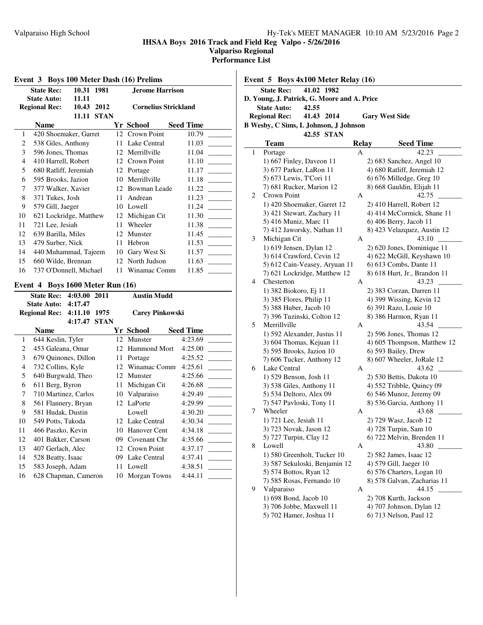**IHSAA Boys 2016 Track and Field Reg Valpo - 5/26/2016**

**Valpariso Regional**

**Performance List**

| 1<br>2<br>3<br>4                                               |                                       | 10.43 2012<br><b>11.11 STAN</b> | <b>Cornelius Strickland</b>        |                             |  |  |
|----------------------------------------------------------------|---------------------------------------|---------------------------------|------------------------------------|-----------------------------|--|--|
|                                                                | <b>Name</b>                           |                                 | Yr School                          | <b>Seed Time</b>            |  |  |
|                                                                | 420 Shoemaker, Garret                 |                                 | 12 Crown Point                     | 10.79                       |  |  |
|                                                                | 538 Giles, Anthony                    |                                 | 11 Lake Central                    | 11.03                       |  |  |
|                                                                | 596 Jones, Thomas                     |                                 | 12 Merrillville                    | 11.04                       |  |  |
|                                                                | 410 Harrell, Robert                   |                                 | 12 Crown Point                     | 11.10                       |  |  |
| 5                                                              | 680 Ratliff, Jeremiah                 |                                 | 12 Portage                         | 11.17                       |  |  |
| 6                                                              | 595 Brooks, Jazion                    |                                 | 10 Merrillville                    | 11.18                       |  |  |
| 7                                                              | 377 Walker, Xavier                    |                                 | 12 Bowman Leade                    | 11.22                       |  |  |
| 8                                                              | 371 Tukes, Josh                       |                                 | 11 Andrean                         | 11.23                       |  |  |
| 9                                                              | 579 Gill, Jaeger                      |                                 | 10 Lowell                          | 11.24                       |  |  |
| 10                                                             | 621 Lockridge, Matthew                |                                 | 12 Michigan Cit                    | 11.30                       |  |  |
| 11                                                             | 721 Lee, Jesiah                       |                                 | 11 Wheeler                         | 11.38                       |  |  |
| 12                                                             | 639 Barilla, Miles                    |                                 | 12 Munster                         | 11.45                       |  |  |
| 13                                                             | 479 Surber, Nick                      |                                 | 11 Hebron                          | 11.53                       |  |  |
| 14                                                             | 440 Muhammad, Tajeem                  |                                 | 10 Gary West Si                    | 11.57                       |  |  |
| 15                                                             | 660 Wilde, Brennan                    |                                 | 12 North Judson                    | 11.63                       |  |  |
| 16                                                             | 737 O'Donnell, Michael                |                                 | 11 Winamac Comm                    | 11.85                       |  |  |
|                                                                | Event 4 Boys 1600 Meter Run (16)      |                                 |                                    |                             |  |  |
|                                                                | <b>State Rec:</b><br>4:03.00 2011     |                                 | <b>Austin Mudd</b>                 |                             |  |  |
|                                                                | 4:17.47<br><b>State Auto:</b>         |                                 |                                    |                             |  |  |
| <b>Regional Rec:</b><br><b>Carey Pinkowski</b><br>4:11.10 1975 |                                       |                                 |                                    |                             |  |  |
| 4:17.47 STAN                                                   |                                       |                                 |                                    |                             |  |  |
|                                                                |                                       |                                 |                                    |                             |  |  |
| 1                                                              | <b>Name</b>                           |                                 | Yr School<br>12 Munster            | <b>Seed Time</b><br>4:23.69 |  |  |
| 2                                                              | 644 Keslin, Tyler                     |                                 | 12 Hammond Mort                    | 4:25.00                     |  |  |
| 3                                                              | 453 Galeana, Omar                     |                                 | 11 Portage                         | 4:25.52                     |  |  |
| 4                                                              | 679 Quinones, Dillon                  |                                 |                                    | 4:25.61                     |  |  |
| 5                                                              | 732 Collins, Kyle                     |                                 | 12 Winamac Comm<br>12 Munster      | 4:25.66                     |  |  |
| 6                                                              | 640 Burgwald, Theo                    |                                 |                                    | 4:26.68                     |  |  |
| 7                                                              | 611 Berg, Byron                       |                                 | 11 Michigan Cit                    |                             |  |  |
| 8                                                              | 710 Martinez, Carlos                  |                                 | 10 Valparaiso<br>12 LaPorte        | 4:29.49<br>4:29.99          |  |  |
| 9                                                              | 561 Flannery, Bryan                   |                                 | Lowell                             | 4:30.20                     |  |  |
| 10                                                             | 581 Hudak, Dustin                     |                                 |                                    |                             |  |  |
|                                                                | 549 Potts, Takoda                     |                                 | 12 Lake Central<br>10 Hanover Cent | 4:30.34<br>4:34.18          |  |  |
|                                                                | 466 Paszko, Kevin                     | 09                              | Covenant Chr                       |                             |  |  |
|                                                                | 401 Bakker, Carson                    |                                 | 12 Crown Point                     | 4:35.66                     |  |  |
|                                                                | 407 Gerlach, Alec                     |                                 |                                    | 4:37.17                     |  |  |
| 11<br>12<br>13<br>14<br>15                                     | 528 Beatty, Isaac<br>583 Joseph, Adam | 11                              | 09 Lake Central<br>Lowell          | 4:37.41<br>4:38.51          |  |  |

|                             | 41.02 1982<br><b>State Rec:</b>             |       |                              |  |  |  |
|-----------------------------|---------------------------------------------|-------|------------------------------|--|--|--|
|                             | D. Young, J. Patrick, G. Moore and A. Price |       |                              |  |  |  |
| <b>State Auto:</b><br>42.55 |                                             |       |                              |  |  |  |
|                             | <b>Regional Rec:</b><br>41.43 2014          |       | <b>Gary West Side</b>        |  |  |  |
|                             | B Wesby, C Sims, L Johnson, J Johnson       |       |                              |  |  |  |
|                             | 42.55 STAN                                  |       |                              |  |  |  |
|                             |                                             |       |                              |  |  |  |
|                             | Team                                        | Relay | <b>Seed Time</b>             |  |  |  |
| 1                           | Portage                                     | A     | 42.23                        |  |  |  |
|                             | 1) 667 Finley, Daveon 11                    |       | 2) 683 Sanchez, Angel 10     |  |  |  |
|                             | 3) 677 Parker, LaRon 11                     |       | 4) 680 Ratliff, Jeremiah 12  |  |  |  |
|                             | 5) 673 Lewis, T'Cori 11                     |       | 6) 676 Milledge, Greg 10     |  |  |  |
|                             | 7) 681 Rucker, Marion 12                    |       | 8) 668 Gauldin, Elijah 11    |  |  |  |
| 2                           | Crown Point                                 | А     | 42.75                        |  |  |  |
|                             | 1) 420 Shoemaker, Garret 12                 |       | 2) 410 Harrell, Robert 12    |  |  |  |
|                             | 3) 421 Stewart, Zachary 11                  |       | 4) 414 McCormick, Shane 11   |  |  |  |
|                             | 5) 416 Muniz, Marc 11                       |       | 6) 406 Berry, Jacob 11       |  |  |  |
|                             | 7) 412 Jaworsky, Nathan 11                  |       | 8) 423 Velazquez, Austin 12  |  |  |  |
| 3                           | Michigan Cit                                | А     | 43.10                        |  |  |  |
|                             | 1) 619 Jensen, Dylan 12                     |       | 2) 620 Jones, Dominique 11   |  |  |  |
|                             | 3) 614 Crawford, Cevin 12                   |       | 4) 622 McGill, Keyshawn 10   |  |  |  |
|                             | 5) 612 Cain-Veasey, Aryuan 11               |       | 6) 613 Combs, Dante 11       |  |  |  |
|                             | 7) 621 Lockridge, Matthew 12                |       | 8) 618 Hurt, Jr., Brandon 11 |  |  |  |
| 4                           | Chesterton                                  | А     | 43.23                        |  |  |  |
|                             | 1) 382 Biokoro, Ej 11                       |       | 2) 383 Corzan, Darren 11     |  |  |  |
|                             | 3) 385 Flores, Philip 11                    |       | 4) 399 Wissing, Kevin 12     |  |  |  |
|                             | 5) 388 Huber, Jacob 10                      |       | 6) 391 Razo, Louie 10        |  |  |  |
|                             | 7) 396 Tuzinski, Colton 12                  |       | 8) 386 Harmon, Ryan 11       |  |  |  |
| 5                           | Merrillville                                | А     | 43.54                        |  |  |  |
|                             | 1) 592 Alexander, Justus 11                 |       | 2) 596 Jones, Thomas 12      |  |  |  |
|                             | 3) 604 Thomas, Kejuan 11                    |       | 4) 605 Thompson, Matthew 12  |  |  |  |
|                             | 5) 595 Brooks, Jazion 10                    |       | 6) 593 Bailey, Drew          |  |  |  |
|                             | 7) 606 Tucker, Anthony 12                   |       | 8) 607 Wheeler, JoRale 12    |  |  |  |
| 6                           | Lake Central                                | А     | 43.62                        |  |  |  |
|                             | 1) 529 Benson, Josh 11                      |       | 2) 530 Bettis, Dakota 10     |  |  |  |
|                             | 3) 538 Giles, Anthony 11                    |       | 4) 552 Tribble, Quincy 09    |  |  |  |
|                             | 5) 534 Deltoro, Alex 09                     |       | 6) 546 Munoz, Jeremy 09      |  |  |  |
|                             | 7) 547 Pavloski, Tony 11                    |       | 8) 536 Garcia, Anthony 11    |  |  |  |
| 7                           | Wheeler                                     | Α     | 43.68                        |  |  |  |
|                             | 1) 721 Lee, Jesiah 11                       |       | 2) 729 Wasz, Jacob 12        |  |  |  |
|                             | 3) 723 Novak, Jason 12                      |       | 4) 728 Turpin, Sam 10        |  |  |  |
|                             | 5) 727 Turpin, Clay 12                      |       | 6) 722 Melvin, Brenden 11    |  |  |  |
| 8                           | Lowell                                      | А     | 43.80                        |  |  |  |
|                             | 1) 580 Greenholt, Tucker 10                 |       | 2) 582 James, Isaac 12       |  |  |  |
|                             | 3) 587 Sekuloski, Benjamin 12               |       | 4) 579 Gill, Jaeger 10       |  |  |  |
|                             | 5) 574 Bottos, Ryan 12                      |       | 6) 576 Charters, Logan 10    |  |  |  |
|                             | 7) 585 Rosas, Fernando 10                   |       | 8) 578 Galvan, Zacharias 11  |  |  |  |
| 9                           | Valparaiso                                  | А     | 44.15                        |  |  |  |
|                             | 1) 698 Bond, Jacob 10                       |       | 2) 708 Kurth, Jackson        |  |  |  |
|                             | 3) 706 Jobbe, Maxwell 11                    |       | 4) 707 Johnson, Dylan 12     |  |  |  |
|                             | 5) 702 Hamer, Joshua 11                     |       | 6) 713 Nelson, Paul 12       |  |  |  |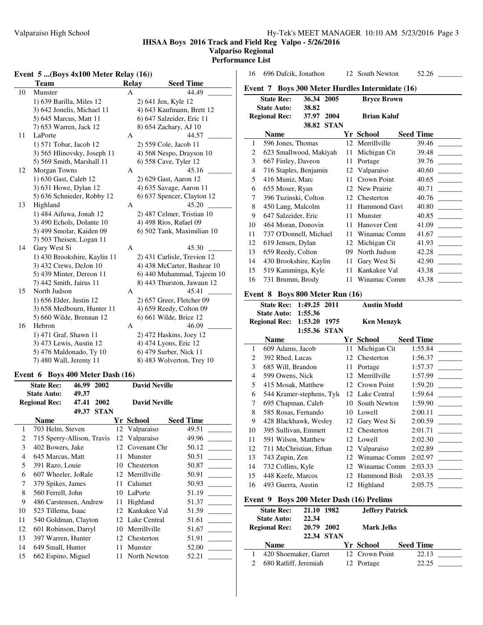# **IHSAA Boys 2016 Track and Field Reg Valpo - 5/26/2016**

#### **Valpariso Regional Performance List**

#### **Event 5 ...(Boys 4x100 Meter Relay (16))**

|    | <b>Team</b>                           | <b>Relay</b> | <b>Seed Time</b>            |
|----|---------------------------------------|--------------|-----------------------------|
| 10 | Munster                               | A            | 44.49                       |
|    | 1) 639 Barilla, Miles 12              |              | 2) 641 Jen, Kyle 12         |
|    | 3) 642 Jonelis, Michael 11            |              | 4) 643 Kaufmann, Brett 12   |
|    | 5) 645 Marcus, Matt 11                |              | 6) 647 Salzeider, Eric 11   |
|    | 7) 653 Warren, Jack 12                |              | 8) 654 Zachary, AJ 10       |
| 11 | LaPorte                               | А            | 44.57                       |
|    | 1) 571 Tobar, Jacob 12                |              | 2) 559 Cole, Jacob 11       |
|    | 3) 565 Hlinovsky, Joseph 11           |              | 4) 568 Nespo, Drayson 10    |
|    | 5) 569 Smith, Marshall 11             |              | 6) 558 Cave, Tyler 12       |
| 12 | Morgan Towns                          | А            | 45.16                       |
|    | 1) 630 Gast, Caleb 12                 |              | 2) 629 Gast, Aaron 12       |
|    | 3) 631 Howe, Dylan 12                 |              | 4) 635 Savage, Aaron 11     |
|    | 5) 636 Schnieder, Robby 12            |              | 6) 637 Spencer, Clayton 12  |
| 13 | Highland                              | А            | 45.20                       |
|    | 1) 484 Aifuwa, Jonah 12               |              | 2) 487 Celmer, Tristian 10  |
|    | 3) 490 Echols, Dolante 10             |              | 4) 498 Rios, Rafael 09      |
|    | 5) 499 Smolar, Kaiden 09              |              | 6) 502 Tank, Maximilian 10  |
|    | 7) 503 Theisen, Logan 11              |              |                             |
| 14 | Gary West Si                          | A            | 45.30                       |
|    | 1) 430 Brookshire, Kaylin 11          |              | 2) 431 Carlisle, Trevion 12 |
|    | 3) 432 Crews, DeJon 10                |              | 4) 438 McCarter, Bashear 10 |
|    | 5) 439 Minter, Dereon 11              |              | 6) 440 Muhammad, Tajeem 10  |
|    | 7) 442 Smith, Jairus 11               |              | 8) 443 Thurston, Jawaun 12  |
| 15 | North Judson                          | A            | 45.41                       |
|    | 1) 656 Elder, Justin 12               |              | 2) 657 Greer, Fletcher 09   |
|    | 3) 658 Medbourn, Hunter 11            |              | 4) 659 Reedy, Colton 09     |
|    | 5) 660 Wilde, Brennan 12              |              | 6) 661 Wilde, Brice 12      |
| 16 | Hebron                                | A            | 46.09                       |
|    | 1) 471 Graf, Shawn 11                 |              | 2) 472 Haskins, Joey 12     |
|    | 3) 473 Lewis, Austin 12               |              | 4) 474 Lyons, Eric 12       |
|    | 5) 476 Maldonado, Ty 10               |              | 6) 479 Surber, Nick 11      |
|    | 7) 480 Wall, Jeremy 11                |              | 8) 483 Wolverton, Trey 10   |
|    | Boys 400 Meter Dash (16)<br>Event 6   |              |                             |
|    | <b>State Rec:</b><br>2002<br>46.99    |              | <b>David Neville</b>        |
|    | <b>State Auto:</b><br>49.37           |              |                             |
|    | 47.41<br>2002<br><b>Regional Rec:</b> |              | <b>David Neville</b>        |

|                                                                                                                                                                                                                                                                                                                                                      | <b>David Neville</b> |                                                            |
|------------------------------------------------------------------------------------------------------------------------------------------------------------------------------------------------------------------------------------------------------------------------------------------------------------------------------------------------------|----------------------|------------------------------------------------------------|
|                                                                                                                                                                                                                                                                                                                                                      |                      |                                                            |
|                                                                                                                                                                                                                                                                                                                                                      |                      | <b>Seed Time</b>                                           |
| 12                                                                                                                                                                                                                                                                                                                                                   | Valparaiso           | 49.51                                                      |
| 12                                                                                                                                                                                                                                                                                                                                                   | Valparaiso           | 49.96                                                      |
| 12                                                                                                                                                                                                                                                                                                                                                   | Covenant Chr         | 50.12                                                      |
| 11                                                                                                                                                                                                                                                                                                                                                   | Munster              | 50.51                                                      |
| 10                                                                                                                                                                                                                                                                                                                                                   | Chesterton           | 50.87                                                      |
| 12                                                                                                                                                                                                                                                                                                                                                   |                      | 50.91                                                      |
| 11                                                                                                                                                                                                                                                                                                                                                   | Calumet              | 50.93                                                      |
| 10                                                                                                                                                                                                                                                                                                                                                   | LaPorte              | 51.19                                                      |
| 11                                                                                                                                                                                                                                                                                                                                                   | Highland             | 51.37                                                      |
| 12                                                                                                                                                                                                                                                                                                                                                   | Kankakee Val         | 51.59                                                      |
| 12                                                                                                                                                                                                                                                                                                                                                   |                      | 51.61                                                      |
| 10                                                                                                                                                                                                                                                                                                                                                   | Merrillville         | 51.67                                                      |
|                                                                                                                                                                                                                                                                                                                                                      |                      | 51.91                                                      |
| 11                                                                                                                                                                                                                                                                                                                                                   | Munster              | 52.00                                                      |
| 11                                                                                                                                                                                                                                                                                                                                                   | North Newton         | 52.21                                                      |
| 49.37<br>703 Helm, Steven<br>715 Sperry-Allison, Travis<br>402 Bowers, Jake<br>645 Marcus, Matt<br>391 Razo, Louie<br>607 Wheeler, JoRale<br>379 Spikes, James<br>560 Ferrell, John<br>486 Carstensen, Andrew<br>523 Tillema, Isaac<br>540 Goldman, Clayton<br>601 Robinson, Darryl<br>397 Warren, Hunter<br>649 Small, Hunter<br>662 Espino, Miguel | <b>STAN</b>          | Yr School<br>Merrillville<br>Lake Central<br>12 Chesterton |

| 16                                                        | 696 Dafcik, Jonathon                                              |    | 12 South Newton    | 52.26            |  |  |  |
|-----------------------------------------------------------|-------------------------------------------------------------------|----|--------------------|------------------|--|--|--|
|                                                           |                                                                   |    |                    |                  |  |  |  |
| <b>Boys 300 Meter Hurdles Intermidate (16)</b><br>Event 7 |                                                                   |    |                    |                  |  |  |  |
|                                                           | <b>State Rec:</b><br>36.34 2005                                   |    | <b>Bryce Brown</b> |                  |  |  |  |
|                                                           | <b>State Auto:</b><br>38.82<br><b>Regional Rec:</b><br>37.97 2004 |    | <b>Brian Kaluf</b> |                  |  |  |  |
|                                                           | <b>STAN</b><br>38.82                                              |    |                    |                  |  |  |  |
|                                                           | Name                                                              |    | Yr School          | <b>Seed Time</b> |  |  |  |
| 1                                                         | 596 Jones, Thomas                                                 | 12 | Merrillville       | 39.46            |  |  |  |
| 2                                                         | 623 Smallwood, Makiyah                                            | 11 | Michigan Cit       | 39.48            |  |  |  |
| 3                                                         | 667 Finley, Daveon                                                | 11 | Portage            | 39.76            |  |  |  |
| 4                                                         | 716 Staples, Benjamin                                             | 12 | Valparaiso         | 40.60            |  |  |  |
| 5                                                         | 416 Muniz, Marc                                                   | 11 | Crown Point        | 40.65            |  |  |  |
| 6                                                         | 655 Moser, Ryan                                                   | 12 | New Prairie        | 40.71            |  |  |  |
| 7                                                         | 396 Tuzinski, Colton                                              | 12 | Chesterton         | 40.76            |  |  |  |
| 8                                                         | 450 Lang, Malcolm                                                 | 11 | Hammond Gavi       | 40.80            |  |  |  |
| 9                                                         | 647 Salzeider, Eric                                               | 11 | Munster            | 40.85            |  |  |  |
| 10                                                        | 464 Moran, Donovin                                                | 11 | Hanover Cent       | 41.09            |  |  |  |
| 11                                                        | 737 O'Donnell, Michael                                            | 11 | Winamac Comm       | 41.67            |  |  |  |
| 12                                                        | 619 Jensen, Dylan                                                 | 12 | Michigan Cit       | 41.93            |  |  |  |
| 13                                                        | 659 Reedy, Colton                                                 | 09 | North Judson       | 42.28            |  |  |  |
| 14                                                        | 430 Brookshire, Kaylin                                            | 11 | Gary West Si       | 42.90            |  |  |  |
| 15                                                        | 519 Kamminga, Kyle                                                | 11 | Kankakee Val       | 43.38            |  |  |  |
| 16                                                        | 731 Brumm, Brody                                                  | 11 | Winamac Comm       | 43.38            |  |  |  |
|                                                           |                                                                   |    |                    |                  |  |  |  |
|                                                           | Event 8 Boys 800 Meter Run (16)                                   |    |                    |                  |  |  |  |
|                                                           | <b>State Rec:</b><br>1:49.25 2011                                 |    | <b>Austin Mudd</b> |                  |  |  |  |
|                                                           | <b>State Auto:</b><br>1:55.36                                     |    |                    |                  |  |  |  |
|                                                           | <b>Regional Rec:</b><br>1:53.20 1975<br>1:55.36 STAN              |    | <b>Ken Menzyk</b>  |                  |  |  |  |
|                                                           | <b>Name</b>                                                       |    | Yr School          | <b>Seed Time</b> |  |  |  |
| 1                                                         | 609 Adams, Jacob                                                  | 11 | Michigan Cit       | 1:55.84          |  |  |  |
| $\overline{2}$                                            | 392 Rhed, Lucas                                                   | 12 | Chesterton         | 1:56.37          |  |  |  |
| 3                                                         | 685 Will, Brandon                                                 | 11 | Portage            | 1:57.37          |  |  |  |
| 4                                                         | 599 Owens, Nick                                                   | 12 | Merrillville       | 1:57.99          |  |  |  |
| 5                                                         | 415 Mosak, Matthew                                                |    | 12 Crown Point     | 1:59.20          |  |  |  |
| 6                                                         | 544 Kramer-stephens, Tyle                                         |    | 12 Lake Central    | 1:59.64          |  |  |  |
| 7                                                         | 695 Chapman, Caleb                                                |    | 10 South Newton    | 1:59.90          |  |  |  |
| 8                                                         | 585 Rosas, Fernando                                               |    | 10 Lowell          | 2:00.11          |  |  |  |
| 9                                                         | 428 Blackhawk, Wesley                                             | 12 | Gary West Si       | 2:00.59          |  |  |  |
| 10                                                        | 395 Sullivan, Emmett                                              | 12 | Chesterton         | 2:01.71          |  |  |  |

11 591 Wilson, Matthew 12 Lowell 2:02.30<br>12 711 McChristian, Ethan 12 Valparaiso 2:02.89

13 743 Zupin, Zen 12 Winamac Comm 2:02.97<br>14 732 Collins, Kyle 12 Winamac Comm 2:03.33

**State Rec: 21.10 1982 Jeffery Patrick**

15 448 Keefe, Marcos 12 Hammond Bish 2:03.35 \_\_\_\_\_\_\_\_\_ 16 493 Guerra, Austin 12 Highland 2:05.75 \_\_\_\_\_\_\_

**Name Yr School Seed Time**<br>420 Shoemaker, Garret 12 Crown Point 22.13 1 420 Shoemaker, Garret 12 Crown Point 22.13 \_\_\_\_\_\_\_\_\_

14 732 Collins, Kyle 12 Winamac Comm 2:03.33 \_\_\_\_\_\_\_\_\_

12 711 McChristian, Ethan 12 Valparaiso

**Event 9 Boys 200 Meter Dash (16) Prelims**

**Regional Rec: 20.79 2002 Mark Jelks 22.34 STAN**

2 680 Ratliff, Jeremiah 12 Portage

**State Auto: 22.34**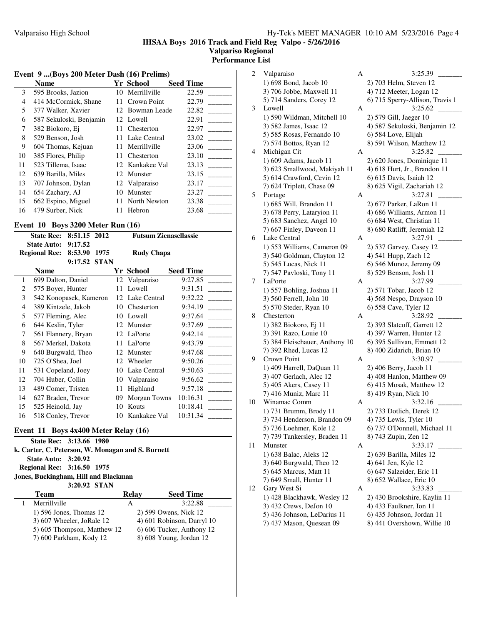### **IHSAA Boys 2016 Track and Field Reg Valpo - 5/26/2016 Valpariso Regional Performance List**

# **Event 9 ...(Boys 200 Meter Dash (16) Prelims)**

| Event 9  (Boys 200 Meter Dash (16) Prelims) |                         |     |                 |                  |  |  |
|---------------------------------------------|-------------------------|-----|-----------------|------------------|--|--|
|                                             | <b>Name</b>             |     | Yr School       | <b>Seed Time</b> |  |  |
| 3                                           | 595 Brooks, Jazion      | 10  | Merrillville    | 22.59            |  |  |
| 4                                           | 414 McCormick, Shane    | 11  | Crown Point     | 22.79            |  |  |
| 5                                           | 377 Walker, Xavier      |     | 12 Bowman Leade | 22.82            |  |  |
| 6                                           | 587 Sekuloski, Benjamin |     | 12 Lowell       | 22.91            |  |  |
| 7                                           | 382 Biokoro, Ei         | 11  | Chesterton      | 22.97            |  |  |
| 8                                           | 529 Benson, Josh        | 11  | Lake Central    | 23.02            |  |  |
| 9                                           | 604 Thomas, Kejuan      | 11  | Merrillville    | 23.06            |  |  |
| 10                                          | 385 Flores, Philip      | 11  | Chesterton      | 23.10            |  |  |
| 11                                          | 523 Tillema, Isaac      |     | 12 Kankakee Val | 23.13            |  |  |
| 12                                          | 639 Barilla, Miles      | 12. | Munster         | 23.15            |  |  |
| 13                                          | 707 Johnson, Dylan      |     | 12 Valparaiso   | 23.17            |  |  |
| 14                                          | 654 Zachary, AJ         | 10  | Munster         | 23.27            |  |  |
| 15                                          | 662 Espino, Miguel      | 11  | North Newton    | 23.38            |  |  |
| 16                                          | 479 Surber, Nick        | 11  | Hebron          | 23.68            |  |  |

#### **Event 10 Boys 3200 Meter Run (16)**

| 8:51.15 2012<br><b>State Rec:</b>                                                                  |                        | <b>Futsum Zienasellassie</b> |  |                   |              |                  |
|----------------------------------------------------------------------------------------------------|------------------------|------------------------------|--|-------------------|--------------|------------------|
| 9:17.52<br><b>State Auto:</b><br><b>Regional Rec:</b><br>8:53.90<br>1975<br>9:17.52<br><b>STAN</b> |                        |                              |  | <b>Rudy Chapa</b> |              |                  |
|                                                                                                    | <b>Name</b>            |                              |  |                   | Yr School    | <b>Seed Time</b> |
| 1                                                                                                  | 699 Dalton, Daniel     |                              |  | 12                | Valparaiso   | 9:27.85          |
| 2                                                                                                  | 575 Boyer, Hunter      |                              |  | 11                | Lowell       | 9:31.51          |
| 3                                                                                                  | 542 Konopasek, Kameron |                              |  | 12                | Lake Central | 9:32.22          |
| $\overline{4}$                                                                                     | 389 Kintzele, Jakob    |                              |  | 10                | Chesterton   | 9:34.19          |
| 5                                                                                                  | 577 Fleming, Alec      |                              |  | 10                | Lowell       | 9:37.64          |
| 6                                                                                                  | 644 Keslin, Tyler      |                              |  | 12                | Munster      | 9:37.69          |
| 7                                                                                                  | 561 Flannery, Bryan    |                              |  | 12                | LaPorte      | 9:42.14          |
| 8                                                                                                  | 567 Merkel, Dakota     |                              |  | 11                | LaPorte      | 9:43.79          |
| 9                                                                                                  | 640 Burgwald, Theo     |                              |  | 12                | Munster      | 9:47.68          |
| 10                                                                                                 | 725 O'Shea, Joel       |                              |  | 12                | Wheeler      | 9:50.26          |
| 11                                                                                                 | 531 Copeland, Joey     |                              |  | 10                | Lake Central | 9:50.63          |
| 12                                                                                                 | 704 Huber, Collin      |                              |  | 10                | Valparaiso   | 9:56.62          |
| 13                                                                                                 | 489 Comer, Tristen     |                              |  | 11                | Highland     | 9:57.18          |
| 14                                                                                                 | 627 Braden, Trevor     |                              |  | 09                | Morgan Towns | 10:16.31         |
| 15                                                                                                 | 525 Heinold, Jay       |                              |  | 10                | Kouts        | 10:18.41         |
| 16                                                                                                 | 518 Conley, Trevor     |                              |  | 10                | Kankakee Val | 10:31.34         |
|                                                                                                    |                        |                              |  |                   |              |                  |

| Event $11$ Boys $4x400$ Meter Relay $(16)$        |                                      |       |                            |  |  |  |  |
|---------------------------------------------------|--------------------------------------|-------|----------------------------|--|--|--|--|
| State Rec: 3:13.66 1980                           |                                      |       |                            |  |  |  |  |
| k. Carter, C. Peterson, W. Monagan and S. Burnett |                                      |       |                            |  |  |  |  |
| <b>State Auto: 3:20.92</b>                        |                                      |       |                            |  |  |  |  |
| Regional Rec: 3:16.50 1975                        |                                      |       |                            |  |  |  |  |
|                                                   | Jones, Buckingham, Hill and Blackman |       |                            |  |  |  |  |
| 3:20.92 STAN                                      |                                      |       |                            |  |  |  |  |
|                                                   |                                      |       |                            |  |  |  |  |
|                                                   | Team                                 | Relay | <b>Seed Time</b>           |  |  |  |  |
|                                                   | Merrillville                         | A     | 3:22.88                    |  |  |  |  |
|                                                   | 1) 596 Jones, Thomas 12              |       | 2) 599 Owens, Nick 12      |  |  |  |  |
|                                                   | 3) 607 Wheeler, JoRale 12            |       | 4) 601 Robinson, Darryl 10 |  |  |  |  |
|                                                   | 5) 605 Thompson, Matthew 12          |       | 6) 606 Tucker, Anthony 12  |  |  |  |  |

| 2  | Valparaiso                     | Α | 3:25.39                          |
|----|--------------------------------|---|----------------------------------|
|    | 1) 698 Bond, Jacob 10          |   | 2) 703 Helm, Steven 12           |
|    | 3) 706 Jobbe, Maxwell 11       |   | 4) 712 Meeter, Logan 12          |
|    | 5) 714 Sanders, Corey 12       |   | 6) 715 Sperry-Allison, Travis 1. |
| 3  | Lowell                         | А | 3:25.62                          |
|    | 1) 590 Wildman, Mitchell 10    |   |                                  |
|    |                                |   | 2) 579 Gill, Jaeger 10           |
|    | 3) 582 James, Isaac 12         |   | 4) 587 Sekuloski, Benjamin 12    |
|    | 5) 585 Rosas, Fernando 10      |   | 6) 584 Love, Elijah              |
|    | 7) 574 Bottos, Ryan 12         |   | 8) 591 Wilson, Matthew 12        |
| 4  | Michigan Cit                   | А | 3:25.82                          |
|    | 1) 609 Adams, Jacob 11         |   | 2) 620 Jones, Dominique 11       |
|    | 3) 623 Smallwood, Makiyah 11   |   | 4) 618 Hurt, Jr., Brandon 11     |
|    | 5) 614 Crawford, Cevin 12      |   | 6) 615 Davis, Isaiah 12          |
|    | 7) 624 Triplett, Chase 09      |   | 8) 625 Vigil, Zachariah 12       |
| 5  | Portage                        | A | 3:27.81                          |
|    | 1) 685 Will, Brandon 11        |   | 2) 677 Parker, LaRon 11          |
|    | 3) 678 Perry, Lataryion 11     |   | 4) 686 Williams, Armon 11        |
|    | 5) 683 Sanchez, Angel 10       |   | 6) 684 West, Christian 11        |
|    | 7) 667 Finley, Daveon 11       |   | 8) 680 Ratliff, Jeremiah 12      |
| 6  | Lake Central                   | А | 3:27.91                          |
|    | 1) 553 Williams, Cameron 09    |   | 2) 537 Garvey, Casey 12          |
|    | 3) 540 Goldman, Clayton 12     |   | 4) 541 Hupp, Zach 12             |
|    | 5) 545 Lucas, Nick 11          |   | 6) 546 Munoz, Jeremy 09          |
|    | 7) 547 Pavloski, Tony 11       |   | 8) 529 Benson, Josh 11           |
| 7  | LaPorte                        | А | 3:27.99                          |
|    |                                |   |                                  |
|    | 1) 557 Bohling, Joshua 11      |   | 2) 571 Tobar, Jacob 12           |
|    | 3) 560 Ferrell, John 10        |   | 4) 568 Nespo, Drayson 10         |
|    | 5) 570 Steder, Ryan 10         |   | 6) 558 Cave, Tyler 12            |
| 8  | Chesterton                     | А | 3:28.92                          |
|    | 1) 382 Biokoro, Ej 11          |   | 2) 393 Slatcoff, Garrett 12      |
|    | 3) 391 Razo, Louie 10          |   | 4) 397 Warren, Hunter 12         |
|    | 5) 384 Fleischauer, Anthony 10 |   | 6) 395 Sullivan, Emmett 12       |
|    | 7) 392 Rhed, Lucas 12          |   | 8) 400 Zidarich, Brian 10        |
| 9  | Crown Point                    | A | 3:30.97                          |
|    | 1) 409 Harrell, DaQuan 11      |   | 2) 406 Berry, Jacob 11           |
|    | 3) 407 Gerlach, Alec 12        |   | 4) 408 Hanlon, Matthew 09        |
|    | 5) 405 Akers, Casey 11         |   | 6) 415 Mosak, Matthew 12         |
|    | 7) 416 Muniz, Marc 11          |   | 8) 419 Ryan, Nick 10             |
| 10 | Winamac Comm                   | A | 3:32.16                          |
|    | 1) 731 Brumm, Brody 11         |   | 2) 733 Dotlich, Derek 12         |
|    | 3) 734 Henderson, Brandon 09   |   | 4) 735 Lewis, Tyler 10           |
|    | 5) 736 Loehmer, Kole 12        |   | 6) 737 O'Donnell, Michael 11     |
|    | 7) 739 Tankersley, Braden 11   |   | 8) 743 Zupin, Zen 12             |
| 11 | Munster                        | A | 3:33.17                          |
|    | 1) 638 Balac, Aleks 12         |   | 2) 639 Barilla, Miles 12         |
|    | 3) 640 Burgwald, Theo 12       |   | 4) 641 Jen, Kyle 12              |
|    | 5) 645 Marcus, Matt 11         |   | 6) 647 Salzeider, Eric 11        |
|    | 7) 649 Small, Hunter 11        |   | 8) 652 Wallace, Eric 10          |
|    |                                |   |                                  |
| 12 | Gary West Si                   | A | 3:33.83                          |
|    | 1) 428 Blackhawk, Wesley 12    |   | 2) 430 Brookshire, Kaylin 11     |
|    | 3) 432 Crews, DeJon 10         |   | 4) 433 Faulkner, Ion 11          |
|    | 5) 436 Johnson, LeDarius 11    |   | 6) 435 Johnson, Jordan 11        |
|    | 7) 437 Mason, Quesean 09       |   | 8) 441 Overshown, Willie 10      |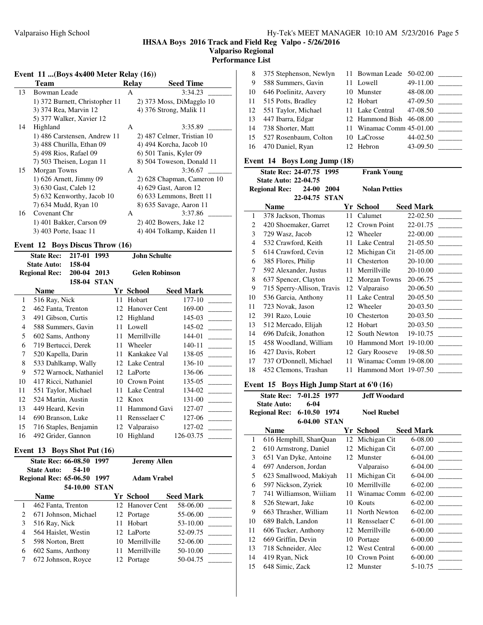# **IHSAA Boys 2016 Track and Field Reg Valpo - 5/26/2016 Valpariso Regional**

**Performance List**

# **Event 11 ...(Boys 4x400 Meter Relay (16))**

|    | Team                           | <b>Relay</b> | <b>Seed Time</b>            |
|----|--------------------------------|--------------|-----------------------------|
| 13 | <b>Bowman Leade</b>            | A            | 3:34.23                     |
|    | 1) 372 Burnett, Christopher 11 |              | 2) 373 Moss, DiMagglo 10    |
|    | 3) 374 Rea, Marvin 12          |              | 4) 376 Strong, Malik 11     |
|    | 5) 377 Walker, Xavier 12       |              |                             |
| 14 | Highland                       | A            | 3:35.89                     |
|    | 1) 486 Carstensen, Andrew 11   |              | 2) 487 Celmer, Tristian 10  |
|    | 3) 488 Churilla, Ethan 09      |              | 4) 494 Korcha, Jacob 10     |
|    | 5) 498 Rios, Rafael 09         |              | 6) 501 Tanis, Kyler 09      |
|    | 7) 503 Theisen, Logan 11       |              | 8) 504 Toweson, Donald 11   |
| 15 | Morgan Towns                   | A            | 3:36.67                     |
|    | 1) 626 Arnett, Jimmy 09        |              | 2) 628 Chapman, Cameron 10  |
|    | 3) 630 Gast, Caleb 12          |              | 4) 629 Gast, Aaron 12       |
|    | 5) 632 Kenworthy, Jacob 10     |              | $(6)$ 633 Lemmons, Brett 11 |
|    | 7) 634 Mudd, Ryan 10           |              | 8) 635 Savage, Aaron 11     |
| 16 | Covenant Chr                   | A            | 3:37.86                     |
|    | 1) 401 Bakker, Carson 09       |              | 2) 402 Bowers, Jake 12      |
|    | 3) 403 Porte, Isaac 11         |              | 4) 404 Tolkamp, Kaiden 11   |

# **Event 12 Boys Discus Throw (16)**

| 217-01<br>1993<br><b>State Rec:</b>                                                             |                        |  | <b>John Schulte</b>   |                 |                  |
|-------------------------------------------------------------------------------------------------|------------------------|--|-----------------------|-----------------|------------------|
| 158-04<br><b>State Auto:</b><br>200-04<br><b>Regional Rec:</b><br>2013<br>158-04<br><b>STAN</b> |                        |  | <b>Gelen Robinson</b> |                 |                  |
|                                                                                                 | <b>Name</b>            |  |                       | Yr School       | <b>Seed Mark</b> |
| 1                                                                                               | 516 Ray, Nick          |  | 11                    | Hobart          | 177-10           |
| $\overline{c}$                                                                                  | 462 Fanta, Trenton     |  | 12                    | Hanover Cent    | 169-00           |
| 3                                                                                               | 491 Gibson, Curtis     |  | 12                    | Highland        | 145-03           |
| 4                                                                                               | 588 Summers, Gavin     |  | 11                    | Lowell          | 145-02           |
| 5                                                                                               | 602 Sams, Anthony      |  | 11                    | Merrillville    | $144 - 01$       |
| 6                                                                                               | 719 Bertucci, Derek    |  | 11                    | Wheeler         | 140-11           |
| 7                                                                                               | 520 Kapella, Darin     |  | 11                    | Kankakee Val    | 138-05           |
| 8                                                                                               | 533 Dahlkamp, Wally    |  |                       | 12 Lake Central | 136-10           |
| 9                                                                                               | 572 Warnock, Nathaniel |  | 12                    | LaPorte         | 136-06           |
| 10                                                                                              | 417 Ricci, Nathaniel   |  | 10                    | Crown Point     | 135-05           |
| 11                                                                                              | 551 Taylor, Michael    |  | 11                    | Lake Central    | 134-02           |
| 12                                                                                              | 524 Martin, Austin     |  | 12                    | Knox            | 131-00           |
| 13                                                                                              | 449 Heard, Kevin       |  | 11                    | Hammond Gavi    | 127-07           |
| 14                                                                                              | 690 Branson, Luke      |  | 11                    | Rensselaer C    | 127-06           |
| 15                                                                                              | 716 Staples, Benjamin  |  | 12                    | Valparaiso      | 127-02           |
| 16                                                                                              | 492 Grider, Gannon     |  | 10                    | Highland        | 126-03.75        |

### **Event 13 Boys Shot Put (16)**

| State Rec: 66-08.50 1997<br><b>Jeremy Allen</b><br>54-10<br><b>State Auto:</b> |                                                        |    |                    |                  |
|--------------------------------------------------------------------------------|--------------------------------------------------------|----|--------------------|------------------|
|                                                                                | 1997<br><b>Regional Rec: 65-06.50</b><br>54-10.00 STAN |    | <b>Adam Vrabel</b> |                  |
|                                                                                | <b>Name</b>                                            |    | Yr School          | <b>Seed Mark</b> |
|                                                                                | 462 Fanta, Trenton                                     |    | 12 Hanover Cent    | 58-06.00         |
| 2                                                                              | 671 Johnson, Michael                                   |    | 12 Portage         | 55-06.00         |
| 3                                                                              | 516 Ray, Nick                                          | 11 | Hobart             | 53-10.00         |
| 4                                                                              | 564 Haislet, Westin                                    |    | 12 LaPorte         | 52-09.75         |
| 5                                                                              | 598 Norton, Brett                                      |    | 10 Merrillville    | 52-06.00         |
| 6                                                                              | 602 Sams, Anthony                                      |    | 11 Merrillyille    | 50-10.00         |
| 7                                                                              | 672 Johnson, Royce                                     |    | 12 Portage         | 50-04.75         |

| 8  | 375 Stephenson, Newlyn   | 11 Bowman Leade 50-02.00 |          |                                   |
|----|--------------------------|--------------------------|----------|-----------------------------------|
| 9  | 588 Summers, Gavin       | 11 Lowell                | 49-11.00 |                                   |
| 10 | 646 Poelinitz, Aavery    | 10 Munster               | 48-08.00 | $\sim 10^{11}$ and $\sim 10^{11}$ |
|    | 11 515 Potts, Bradley    | 12 Hobart                | 47-09.50 |                                   |
|    | 12 551 Taylor, Michael   | 11 Lake Central          | 47-08.50 |                                   |
| 13 | 447 Ibarra, Edgar        | 12 Hammond Bish 46-08.00 |          |                                   |
|    | 14 738 Shorter, Matt     | 11 Winamac Comm 45-01.00 |          |                                   |
|    | 15 527 Rosenbaum, Colton | 10 LaCrosse              | 44-02.50 |                                   |
|    | 16 470 Daniel, Ryan      | 12 Hebron                | 43-09.50 |                                   |

# **Event 14 Boys Long Jump (18)**

| State Rec: 24-07.75 1995<br><b>Frank Young</b> |                                                                                              |     |                       |                  |  |
|------------------------------------------------|----------------------------------------------------------------------------------------------|-----|-----------------------|------------------|--|
|                                                | <b>State Auto: 22-04.75</b><br>2004<br><b>Regional Rec:</b><br><b>24-00</b><br>22-04.75 STAN |     | <b>Nolan Petties</b>  |                  |  |
|                                                | <b>Name</b>                                                                                  |     | Yr School             | <b>Seed Mark</b> |  |
| 1                                              | 378 Jackson, Thomas                                                                          | 11  | Calumet               | 22-02.50         |  |
| $\mathfrak{D}$                                 | 420 Shoemaker, Garret                                                                        | 12  | Crown Point           | 22-01.75         |  |
| 3                                              | 729 Wasz, Jacob                                                                              | 12  | Wheeler               | 22-00.00         |  |
| $\overline{4}$                                 | 532 Crawford, Keith                                                                          | 11  | Lake Central          | 21-05.50         |  |
| 5                                              | 614 Crawford, Cevin                                                                          |     | 12 Michigan Cit       | 21-05.00         |  |
| 6                                              | 385 Flores, Philip                                                                           | 11  | Chesterton            | 20-10.00         |  |
| 7                                              | 592 Alexander, Justus                                                                        | 11  | Merrillville          | 20-10.00         |  |
| 8                                              | 637 Spencer, Clayton                                                                         |     | 12 Morgan Towns       | 20-06.75         |  |
| 9                                              | 715 Sperry-Allison, Travis                                                                   |     | 12 Valparaiso         | 20-06.50         |  |
| 10                                             | 536 Garcia, Anthony                                                                          | 11  | Lake Central          | 20-05.50         |  |
| 11                                             | 723 Novak, Jason                                                                             | 12. | Wheeler               | 20-03.50         |  |
| 12                                             | 391 Razo, Louie                                                                              | 10  | Chesterton            | 20-03.50         |  |
| 13                                             | 512 Mercado, Elijah                                                                          | 12  | Hobart                | 20-03.50         |  |
| 14                                             | 696 Dafcik, Jonathon                                                                         |     | 12 South Newton       | 19-10.75         |  |
| 15                                             | 458 Woodland, William                                                                        | 10  | <b>Hammond Mort</b>   | 19-10.00         |  |
| 16                                             | 427 Davis, Robert                                                                            | 12  | Gary Rooseve          | 19-08.50         |  |
| 17                                             | 737 O'Donnell, Michael                                                                       | 11  | Winamac Comm 19-08.00 |                  |  |
| 18                                             | 452 Clemons, Trashan                                                                         | 11  | Hammond Mort 19-07.50 |                  |  |
|                                                |                                                                                              |     |                       |                  |  |

### **Event 15 Boys High Jump Start at 6'0 (16)**

|                | State Rec: 7-01.25 1977        |    | Jeff Woodard       |                  |
|----------------|--------------------------------|----|--------------------|------------------|
|                | $6 - 04$<br><b>State Auto:</b> |    |                    |                  |
|                | Regional Rec: 6-10.50 1974     |    | <b>Noel Ruebel</b> |                  |
|                | 6-04.00 STAN                   |    |                    |                  |
|                | <b>Name</b>                    |    | Yr School          | <b>Seed Mark</b> |
| 1              | 616 Hemphill, ShanQuan         |    | 12 Michigan Cit    | 6-08.00          |
| 2              | 610 Armstrong, Daniel          |    | 12 Michigan Cit    | 6-07.00          |
| 3              | 651 Van Dyke, Antoine          |    | 12 Munster         | 6-04.00          |
| $\overline{4}$ | 697 Anderson, Jordan           |    | Valparaiso         | 6-04.00          |
| 5              | 623 Smallwood, Makiyah         | 11 | Michigan Cit       | 6-04.00          |
| 6              | 597 Nickson, Zyriek            | 10 | Merrillville       | 6-02.00          |
| 7              | 741 Williamson, Wiiliam        |    | 11 Winamac Comm    | $6 - 02.00$      |
| 8              | 526 Stewart, Jake              |    | 10 Kouts           | $6 - 02.00$      |
| 9              | 663 Thrasher, William          |    | 11 North Newton    | 6-02.00          |
| 10             | 689 Balch, Landon              |    | 11 Rensselaer C    | 6-01.00          |
| 11             | 606 Tucker, Anthony            |    | 12 Merrillville    | $6 - 00.00$      |
| 12             | 669 Griffin, Devin             | 10 | Portage            | $6 - 00.00$      |
| 13             | 718 Schneider, Alec            |    | 12 West Central    | $6 - 00.00$      |
| 14             | 419 Ryan, Nick                 | 10 | Crown Point        | $6 - 00.00$      |
| 15             | 648 Simic, Zack                |    | 12 Munster         | 5-10.75          |